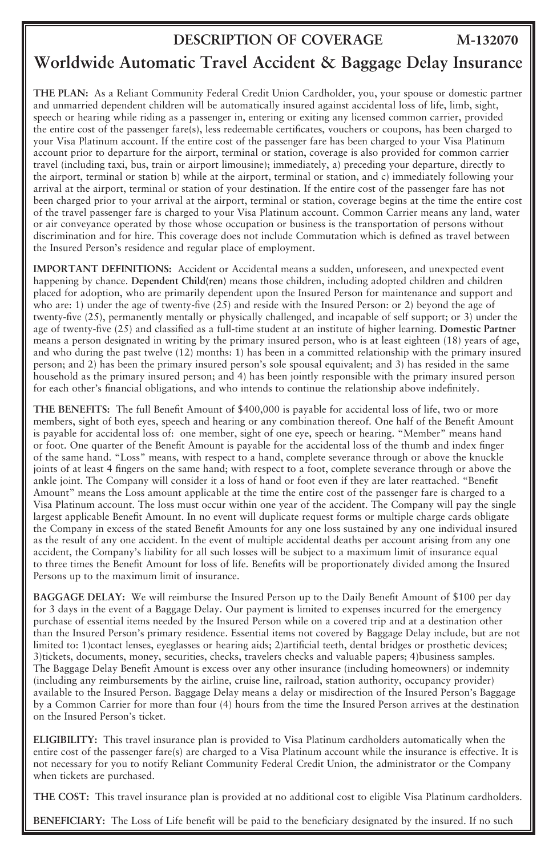## **DESCRIPTION OF COVERAGE**

## **M-132070**

## **Worldwide Automatic Travel Accident & Baggage Delay Insurance**

**THE PLAN:** As a Reliant Community Federal Credit Union Cardholder, you, your spouse or domestic partner and unmarried dependent children will be automatically insured against accidental loss of life, limb, sight, speech or hearing while riding as a passenger in, entering or exiting any licensed common carrier, provided the entire cost of the passenger fare(s), less redeemable certificates, vouchers or coupons, has been charged to your Visa Platinum account. If the entire cost of the passenger fare has been charged to your Visa Platinum account prior to departure for the airport, terminal or station, coverage is also provided for common carrier travel (including taxi, bus, train or airport limousine); immediately, a) preceding your departure, directly to the airport, terminal or station b) while at the airport, terminal or station, and c) immediately following your arrival at the airport, terminal or station of your destination. If the entire cost of the passenger fare has not been charged prior to your arrival at the airport, terminal or station, coverage begins at the time the entire cost of the travel passenger fare is charged to your Visa Platinum account. Common Carrier means any land, water or air conveyance operated by those whose occupation or business is the transportation of persons without discrimination and for hire. This coverage does not include Commutation which is defined as travel between the Insured Person's residence and regular place of employment.

**IMPORTANT DEFINITIONS:** Accident or Accidental means a sudden, unforeseen, and unexpected event happening by chance. **Dependent Child(ren)** means those children, including adopted children and children placed for adoption, who are primarily dependent upon the Insured Person for maintenance and support and who are: 1) under the age of twenty-five (25) and reside with the Insured Person: or 2) beyond the age of twenty-five (25), permanently mentally or physically challenged, and incapable of self support; or 3) under the age of twenty-five (25) and classified as a full-time student at an institute of higher learning. **Domestic Partner** means a person designated in writing by the primary insured person, who is at least eighteen (18) years of age, and who during the past twelve (12) months: 1) has been in a committed relationship with the primary insured person; and 2) has been the primary insured person's sole spousal equivalent; and 3) has resided in the same household as the primary insured person; and 4) has been jointly responsible with the primary insured person for each other's financial obligations, and who intends to continue the relationship above indefinitely.

**THE BENEFITS:** The full Benefit Amount of \$400,000 is payable for accidental loss of life, two or more members, sight of both eyes, speech and hearing or any combination thereof. One half of the Benefit Amount is payable for accidental loss of: one member, sight of one eye, speech or hearing. "Member" means hand or foot. One quarter of the Benefit Amount is payable for the accidental loss of the thumb and index finger of the same hand. "Loss" means, with respect to a hand, complete severance through or above the knuckle joints of at least 4 fingers on the same hand; with respect to a foot, complete severance through or above the ankle joint. The Company will consider it a loss of hand or foot even if they are later reattached. "Benefit Amount" means the Loss amount applicable at the time the entire cost of the passenger fare is charged to a Visa Platinum account. The loss must occur within one year of the accident. The Company will pay the single largest applicable Benefit Amount. In no event will duplicate request forms or multiple charge cards obligate the Company in excess of the stated Benefit Amounts for any one loss sustained by any one individual insured as the result of any one accident. In the event of multiple accidental deaths per account arising from any one accident, the Company's liability for all such losses will be subject to a maximum limit of insurance equal to three times the Benefit Amount for loss of life. Benefits will be proportionately divided among the Insured Persons up to the maximum limit of insurance.

**BAGGAGE DELAY:** We will reimburse the Insured Person up to the Daily Benefit Amount of \$100 per day for 3 days in the event of a Baggage Delay. Our payment is limited to expenses incurred for the emergency purchase of essential items needed by the Insured Person while on a covered trip and at a destination other than the Insured Person's primary residence. Essential items not covered by Baggage Delay include, but are not limited to: 1)contact lenses, eyeglasses or hearing aids; 2)artificial teeth, dental bridges or prosthetic devices; 3)tickets, documents, money, securities, checks, travelers checks and valuable papers; 4)business samples. The Baggage Delay Benefit Amount is excess over any other insurance (including homeowners) or indemnity (including any reimbursements by the airline, cruise line, railroad, station authority, occupancy provider) available to the Insured Person. Baggage Delay means a delay or misdirection of the Insured Person's Baggage by a Common Carrier for more than four (4) hours from the time the Insured Person arrives at the destination on the Insured Person's ticket.

**ELIGIBILITY:** This travel insurance plan is provided to Visa Platinum cardholders automatically when the entire cost of the passenger fare(s) are charged to a Visa Platinum account while the insurance is effective. It is not necessary for you to notify Reliant Community Federal Credit Union, the administrator or the Company when tickets are purchased.

**THE COST:** This travel insurance plan is provided at no additional cost to eligible Visa Platinum cardholders.

**BENEFICIARY:** The Loss of Life benefit will be paid to the beneficiary designated by the insured. If no such